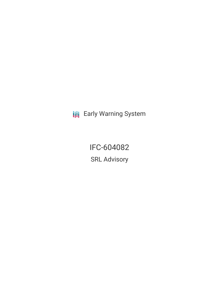**III** Early Warning System

IFC-604082 SRL Advisory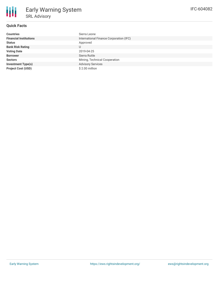

# **Quick Facts**

| <b>Countries</b>              | Sierra Leone                            |
|-------------------------------|-----------------------------------------|
| <b>Financial Institutions</b> | International Finance Corporation (IFC) |
| <b>Status</b>                 | Approved                                |
| <b>Bank Risk Rating</b>       | U                                       |
| <b>Voting Date</b>            | 2019-04-25                              |
| <b>Borrower</b>               | Sierra Rutile                           |
| <b>Sectors</b>                | Mining, Technical Cooperation           |
| <b>Investment Type(s)</b>     | <b>Advisory Services</b>                |
| <b>Project Cost (USD)</b>     | \$2.00 million                          |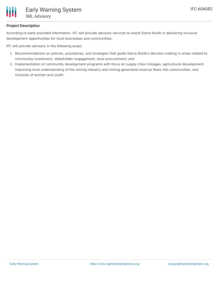

### **Project Description**

According to bank provided information, IFC will provide advisory services to assist Sierra Rutile in delivering inclusive development opportunities for local businesses and communities.

IFC will provide advisory in the following areas:

- 1. Recommendations on policies, procedures, and strategies that guide Sierra Rutile's decision making in areas related to community investment, stakeholder engagement, local procurement; and
- 2. Implementation of community development programs with focus on supply chain linkages, agricultural development, improving local understanding of the mining industry and mining-generated revenue flows into communities, and inclusion of women and youth.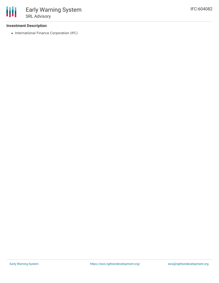#### **Investment Description**

• International Finance Corporation (IFC)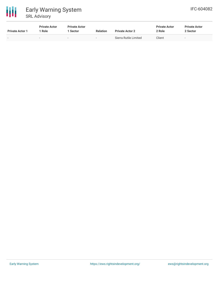

| <b>Private Actor 1</b> | <b>Private Actor</b><br>  Role | <b>Private Actor</b><br>i Sector | <b>Relation</b>          | <b>Private Actor 2</b> | <b>Private Actor</b><br>2 Role | <b>Private Actor</b><br>2 Sector |
|------------------------|--------------------------------|----------------------------------|--------------------------|------------------------|--------------------------------|----------------------------------|
|                        | $\overline{\phantom{a}}$       | $\,$                             | $\overline{\phantom{a}}$ | Sierra Rutile Limited  | Client                         | $\overline{\phantom{a}}$         |